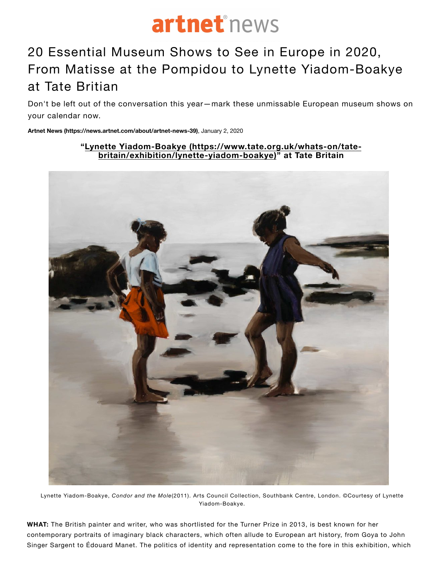

## [20 Essential Museum Shows to See i](https://www.royalacademy.org.uk/exhibition/tracey-emin-edvard-munch)n Europe in 2020, From Matisse at the Pompidou to Lynette Yiadom-Boakye at Tate Britian

Don't be left o[ut of the conversation this year—mark these unmissable European museu](https://www.tate.org.uk/whats-on/tate-britain/exhibition/lynette-yiadom-boakye)m shows on your calendar now.

**Artnet News (https://news.artnet.com/about/artnet-news-39)**, January 2, 2020

## **"Lynette Yiadom-Boakye (https://www.tate.org.uk/whats-on/tatebritain/exhibition/lynette-yiadom-boakye)" at Tate Britain**



Lynette Yiadom-Boakye, *Condor and the Mole*(2011). Arts Council Collection, Southbank Centre, London. ©Courtesy of Lynette Yiadom-Boakye.

**WHAT:** The British painter and writer, who was shortlisted for the Turner Prize in 2013, is best known for her contemporary portraits of imaginary black characters, which often allude to European art history, from Goya to John Singer Sargent to Édouard Manet. The politics of identity and representation come to the fore in this exhibition, which